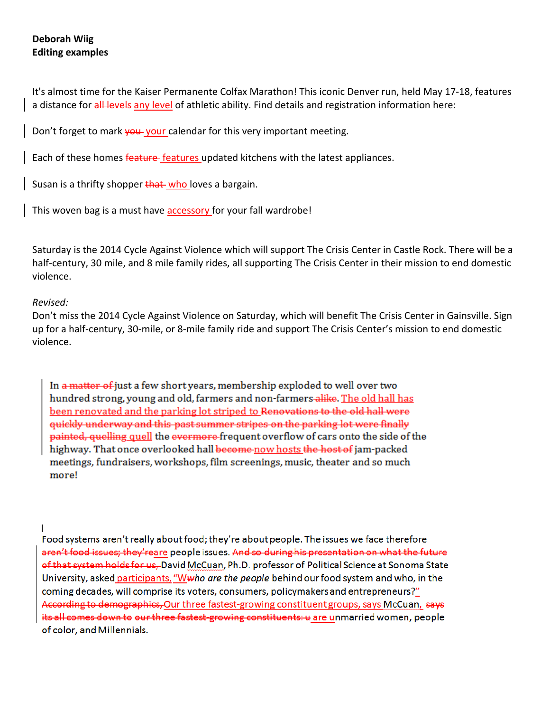# **Deborah Wiig Editing examples**

It's almost time for the Kaiser Permanente Colfax Marathon! This iconic Denver run, held May 17‐18, features a distance for all levels any level of athletic ability. Find details and registration information here:

Don't forget to mark **you-** your calendar for this very important meeting.

Each of these homes **feature** features updated kitchens with the latest appliances.

Susan is a thrifty shopper that who loves a bargain.

This woven bag is a must have accessory for your fall wardrobe!

Saturday is the 2014 Cycle Against Violence which will support The Crisis Center in Castle Rock. There will be a half-century, 30 mile, and 8 mile family rides, all supporting The Crisis Center in their mission to end domestic violence.

# *Revised:*

Don't miss the 2014 Cycle Against Violence on Saturday, which will benefit The Crisis Center in Gainsville. Sign up for a half‐century, 30‐mile, or 8‐mile family ride and support The Crisis Center's mission to end domestic violence.

In a matter of just a few short years, membership exploded to well over two hundred strong, young and old, farmers and non-farmers alike. The old hall has been renovated and the parking lot striped to Renovations to the old hall were quickly underway and this past summer stripes on the parking lot were finally painted, quelling quell the evermore frequent overflow of cars onto the side of the highway. That once overlooked hall become now hosts the host of jam-packed meetings, fundraisers, workshops, film screenings, music, theater and so much more!

Food systems aren't really about food; they're about people. The issues we face therefore aren't food issues; they'reare people issues. And so during his presentation on what the future of that system holds for us, David McCuan, Ph.D. professor of Political Science at Sonoma State University, asked participants, "Wwho are the people behind our food system and who, in the coming decades, will comprise its voters, consumers, policymakers and entrepreneurs?" According to demographics, Our three fastest-growing constituent groups, says McCuan, says its all comes down to our three fastest-growing constituents: u are unmarried women, people of color, and Millennials.